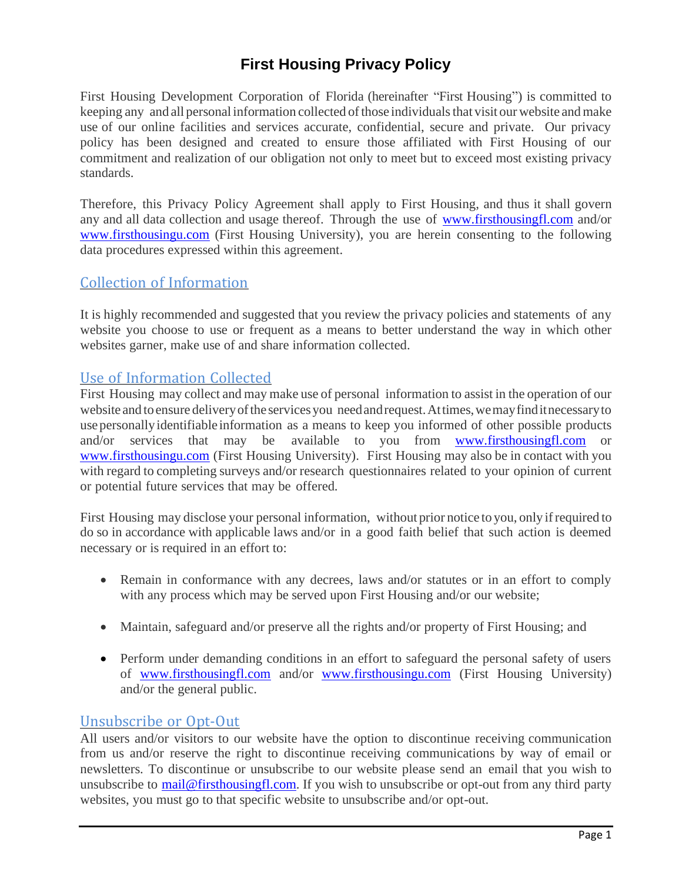# **First Housing Privacy Policy**

First Housing Development Corporation of Florida (hereinafter "First Housing") is committed to keeping any and all personal information collected of those individuals that visit our website and make use of our online facilities and services accurate, confidential, secure and private. Our privacy policy has been designed and created to ensure those affiliated with First Housing of our commitment and realization of our obligation not only to meet but to exceed most existing privacy standards.

Therefore, this Privacy Policy Agreement shall apply to First Housing, and thus it shall govern any and all data collection and usage thereof. Through the use of <www.firsthousingfl.com> and/or <www.firsthousingu.com> (First Housing University), you are herein consenting to the following data procedures expressed within this agreement.

# Collection of Information

It is highly recommended and suggested that you review the privacy policies and statements of any website you choose to use or frequent as a means to better understand the way in which other websites garner, make use of and share information collected.

# Use of Information Collected

First Housing may collect and may make use of personal information to assist in the operation of our website and to ensure delivery of the services you need and request. At times, we may find it necessary to usepersonallyidentifiable information as a means to keep you informed of other possible products and/or services that may be available to you from [www.firsthousingfl.com](http://www.firsthousingfl.com/) or [www.firsthousingu.com](http://www.firsthousingu.com/) (First Housing University). First Housing may also be in contact with you with regard to completing surveys and/or research questionnaires related to your opinion of current or potential future services that may be offered.

First Housing may disclose your personal information, without prior notice to you, only ifrequired to do so in accordance with applicable laws and/or in a good faith belief that such action is deemed necessary or is required in an effort to:

- Remain in conformance with any decrees, laws and/or statutes or in an effort to comply with any process which may be served upon First Housing and/or our website;
- Maintain, safeguard and/or preserve all the rights and/or property of First Housing; and
- Perform under demanding conditions in an effort to safeguard the personal safety of users of [www.firsthousingfl.com](http://www.firsthousingfl.com/) and/or [www.firsthousingu.com](http://www.firsthousingu.com/) (First Housing University) and/or the general public.

### Unsubscribe or Opt-Out

All users and/or visitors to our website have the option to discontinue receiving communication from us and/or reserve the right to discontinue receiving communications by way of email or newsletters. To discontinue or unsubscribe to our website please send an email that you wish to unsubscribe to [mail@firsthousingfl.com.](mailto:mail@firsthousingfl.com) If you wish to unsubscribe or opt-out from any third party websites, you must go to that specific website to unsubscribe and/or opt-out.